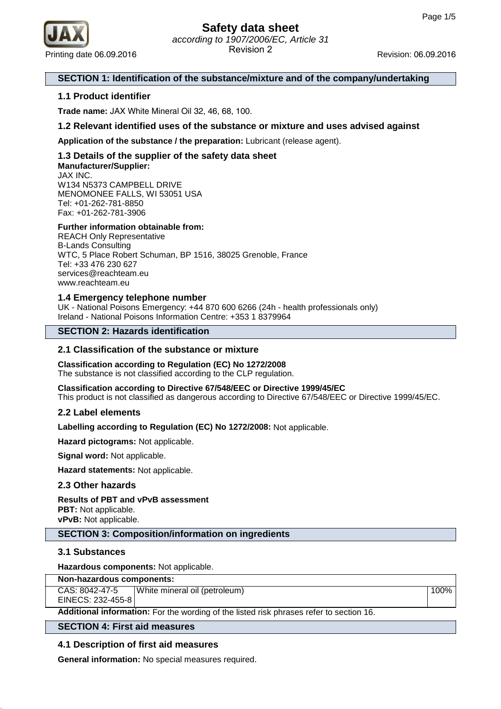

### **SECTION 1: Identification of the substance/mixture and of the company/undertaking**

### **1.1 Product identifier**

**Trade name:** JAX White Mineral Oil 32, 46, 68, 100.

### **1.2 Relevant identified uses of the substance or mixture and uses advised against**

**Application of the substance / the preparation:** Lubricant (release agent).

### **1.3 Details of the supplier of the safety data sheet Manufacturer/Supplier:**

JAX INC. W134 N5373 CAMPBELL DRIVE MENOMONEE FALLS, WI 53051 USA Tel: +01-262-781-8850 Fax: +01-262-781-3906

### **Further information obtainable from:**

REACH Only Representative B-Lands Consulting WTC, 5 Place Robert Schuman, BP 1516, 38025 Grenoble, France Tel: +33 476 230 627 services@reachteam.eu www.reachteam.eu

### **1.4 Emergency telephone number**

UK - National Poisons Emergency: +44 870 600 6266 (24h - health professionals only) Ireland - National Poisons Information Centre: +353 1 8379964

### **SECTION 2: Hazards identification**

### **2.1 Classification of the substance or mixture**

### **Classification according to Regulation (EC) No 1272/2008**

The substance is not classified according to the CLP regulation.

**Classification according to Directive 67/548/EEC or Directive 1999/45/EC** This product is not classified as dangerous according to Directive 67/548/EEC or Directive 1999/45/EC.

### **2.2 Label elements**

**Labelling according to Regulation (EC) No 1272/2008:** Not applicable.

**Hazard pictograms:** Not applicable.

**Signal word:** Not applicable.

**Hazard statements:** Not applicable.

### **2.3 Other hazards**

### **Results of PBT and vPvB assessment**

**PBT:** Not applicable. **vPvB:** Not applicable.

### **SECTION 3: Composition/information on ingredients**

### **3.1 Substances**

**Hazardous components:** Not applicable.

| Non-hazardous components: |  |
|---------------------------|--|
|---------------------------|--|

CAS: 8042-47-5 EINECS: 232-455-8 White mineral oil (petroleum) 100%

**Additional information:** For the wording of the listed risk phrases refer to section 16.

### **SECTION 4: First aid measures**

### **4.1 Description of first aid measures**

**General information:** No special measures required.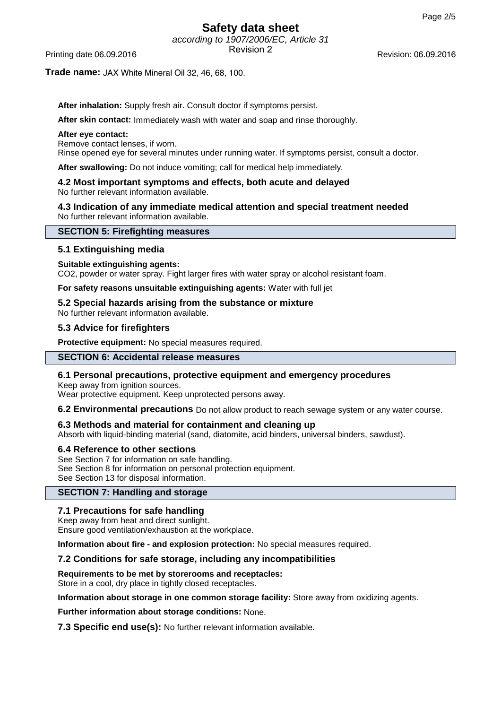# **Safety data sheet**

according to 1907/2006/EC, Article 31 Revision 2 Printing date 06.09.2016 Revision: 06.09.2016

### **Trade name:** JAX White Mineral Oil 32, 46, 68, 100.

**After inhalation:** Supply fresh air. Consult doctor if symptoms persist.

**After skin contact:** Immediately wash with water and soap and rinse thoroughly.

### **After eye contact:**

Remove contact lenses, if worn.

Rinse opened eye for several minutes under running water. If symptoms persist, consult a doctor.

**After swallowing:** Do not induce vomiting; call for medical help immediately.

#### **4.2 Most important symptoms and effects, both acute and delayed** No further relevant information available.

**4.3 Indication of any immediate medical attention and special treatment needed** No further relevant information available.

### **SECTION 5: Firefighting measures**

### **5.1 Extinguishing media**

### **Suitable extinguishing agents:**

CO2, powder or water spray. Fight larger fires with water spray or alcohol resistant foam.

**For safety reasons unsuitable extinguishing agents:** Water with full jet

### **5.2 Special hazards arising from the substance or mixture**

No further relevant information available.

### **5.3 Advice for firefighters**

**Protective equipment:** No special measures required.

### **SECTION 6: Accidental release measures**

### **6.1 Personal precautions, protective equipment and emergency procedures**

Keep away from ignition sources. Wear protective equipment. Keep unprotected persons away.

**6.2 Environmental precautions** Do not allow product to reach sewage system or any water course.

### **6.3 Methods and material for containment and cleaning up**

Absorb with liquid-binding material (sand, diatomite, acid binders, universal binders, sawdust).

### **6.4 Reference to other sections**

See Section 7 for information on safe handling. See Section 8 for information on personal protection equipment. See Section 13 for disposal information.

### **SECTION 7: Handling and storage**

### **7.1 Precautions for safe handling**

Keep away from heat and direct sunlight.

Ensure good ventilation/exhaustion at the workplace.

**Information about fire - and explosion protection:** No special measures required.

### **7.2 Conditions for safe storage, including any incompatibilities**

**Requirements to be met by storerooms and receptacles:**

Store in a cool, dry place in tightly closed receptacles.

**Information about storage in one common storage facility:** Store away from oxidizing agents.

**Further information about storage conditions:** None.

**7.3 Specific end use(s):** No further relevant information available.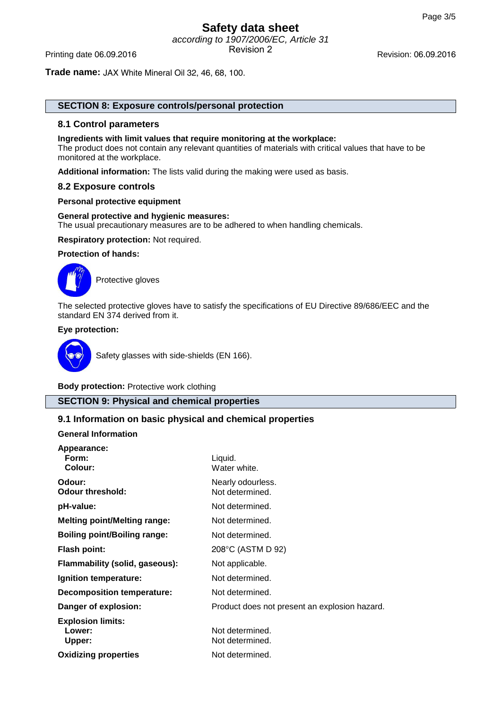## **Safety data sheet** according to 1907/2006/EC, Article 31 Printing date 06.09.2016 **Revision 2** Revision 2 Revision: 06.09.2016

**Trade name:** JAX White Mineral Oil 32, 46, 68, 100.

### **SECTION 8: Exposure controls/personal protection**

### **8.1 Control parameters**

#### **Ingredients with limit values that require monitoring at the workplace:**

The product does not contain any relevant quantities of materials with critical values that have to be monitored at the workplace.

**Additional information:** The lists valid during the making were used as basis.

### **8.2 Exposure controls**

#### **Personal protective equipment**

### **General protective and hygienic measures:**

The usual precautionary measures are to be adhered to when handling chemicals.

**Respiratory protection:** Not required.

### **Protection of hands:**



Protective gloves

The selected protective gloves have to satisfy the specifications of EU Directive 89/686/EEC and the standard EN 374 derived from it.

### **Eye protection:**



Safety glasses with side-shields (EN 166).

**Body protection:** Protective work clothing

### **SECTION 9: Physical and chemical properties**

### **9.1 Information on basic physical and chemical properties**

### **General Information**

| Appearance:<br>Form:<br>Colour:              | Liquid.<br>Water white.                       |
|----------------------------------------------|-----------------------------------------------|
| Odour:<br><b>Odour threshold:</b>            | Nearly odourless.<br>Not determined.          |
| pH-value:                                    | Not determined.                               |
| <b>Melting point/Melting range:</b>          | Not determined.                               |
| <b>Boiling point/Boiling range:</b>          | Not determined.                               |
| <b>Flash point:</b>                          | 208°C (ASTM D 92)                             |
| Flammability (solid, gaseous):               | Not applicable.                               |
| Ignition temperature:                        | Not determined.                               |
| Decomposition temperature:                   | Not determined.                               |
| Danger of explosion:                         | Product does not present an explosion hazard. |
| <b>Explosion limits:</b><br>Lower:<br>Upper: | Not determined.<br>Not determined.            |
| <b>Oxidizing properties</b>                  | Not determined.                               |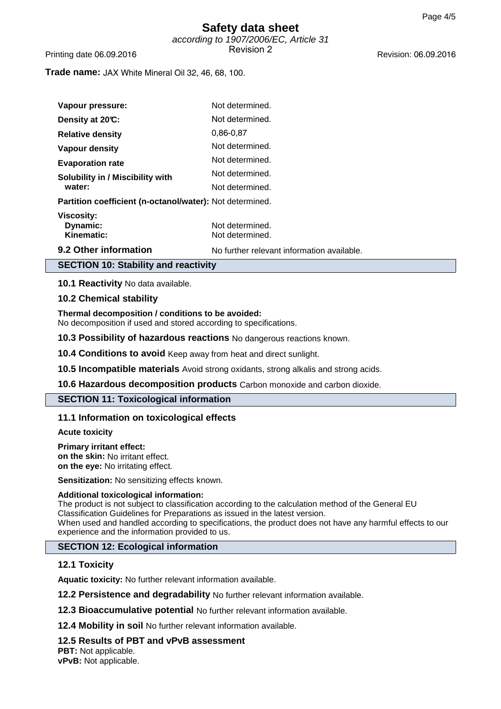### **Safety data sheet** according to 1907/2006/EC, Article 31 Revision 2 Printing date 06.09.2016 Revision: 06.09.2016

**Trade name:** JAX White Mineral Oil 32, 46, 68, 100.

| Vapour pressure:                                         | Not determined.                            |
|----------------------------------------------------------|--------------------------------------------|
| Density at 20°C:                                         | Not determined.                            |
| <b>Relative density</b>                                  | 0.86-0.87                                  |
| Vapour density                                           | Not determined.                            |
| <b>Evaporation rate</b>                                  | Not determined.                            |
| <b>Solubility in / Miscibility with</b>                  | Not determined.                            |
| water:                                                   | Not determined.                            |
| Partition coefficient (n-octanol/water): Not determined. |                                            |
| Viscosity:<br>Dynamic:<br>Kinematic:                     | Not determined.<br>Not determined.         |
| 9.2 Other information                                    | No further relevant information available. |

### **SECTION 10: Stability and reactivity**

**10.1 Reactivity** No data available.

### **10.2 Chemical stability**

**Thermal decomposition / conditions to be avoided:**

No decomposition if used and stored according to specifications.

**10.3 Possibility of hazardous reactions** No dangerous reactions known.

**10.4 Conditions to avoid** Keep away from heat and direct sunlight.

**10.5 Incompatible materials** Avoid strong oxidants, strong alkalis and strong acids.

**10.6 Hazardous decomposition products** Carbon monoxide and carbon dioxide.

### **SECTION 11: Toxicological information**

### **11.1 Information on toxicological effects**

**Acute toxicity**

#### **Primary irritant effect:**

**on the skin:** No irritant effect. **on the eye:** No irritating effect.

**Sensitization:** No sensitizing effects known.

### **Additional toxicological information:**

The product is not subject to classification according to the calculation method of the General EU Classification Guidelines for Preparations as issued in the latest version. When used and handled according to specifications, the product does not have any harmful effects to our experience and the information provided to us.

### **SECTION 12: Ecological information**

### **12.1 Toxicity**

**Aquatic toxicity:** No further relevant information available.

**12.2 Persistence and degradability** No further relevant information available.

**12.3 Bioaccumulative potential** No further relevant information available.

**12.4 Mobility in soil** No further relevant information available.

### **12.5 Results of PBT and vPvB assessment**

**PBT:** Not applicable. **vPvB:** Not applicable.